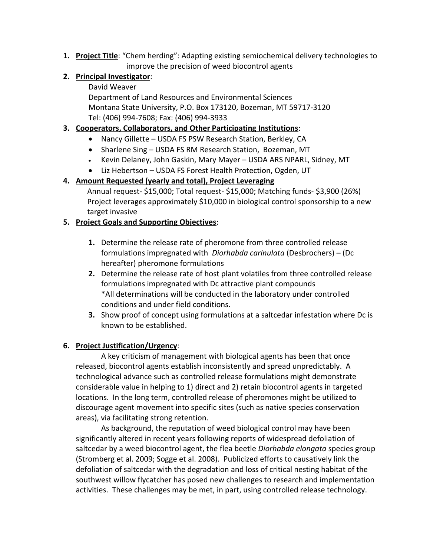**1. Project Title**: "Chem herding": Adapting existing semiochemical delivery technologies to improve the precision of weed biocontrol agents

# **2. Principal Investigator**:

### David Weaver

Department of Land Resources and Environmental Sciences Montana State University, P.O. Box 173120, Bozeman, MT 59717-3120 Tel: (406) 994-7608; Fax: (406) 994-3933

## **3. Cooperators, Collaborators, and Other Participating Institutions**:

- Nancy Gillette USDA FS PSW Research Station, Berkley, CA
- Sharlene Sing USDA FS RM Research Station, Bozeman, MT
- Kevin Delaney, John Gaskin, Mary Mayer USDA ARS NPARL, Sidney, MT
- Liz Hebertson USDA FS Forest Health Protection, Ogden, UT

# **4. Amount Requested (yearly and total), Project Leveraging**

 Annual request- \$15,000; Total request- \$15,000; Matching funds- \$3,900 (26%) Project leverages approximately \$10,000 in biological control sponsorship to a new target invasive

# **5. Project Goals and Supporting Objectives**:

- **1.** Determine the release rate of pheromone from three controlled release formulations impregnated with *Diorhabda carinulata* (Desbrochers) – (Dc hereafter) pheromone formulations
- **2.** Determine the release rate of host plant volatiles from three controlled release formulations impregnated with Dc attractive plant compounds \*All determinations will be conducted in the laboratory under controlled conditions and under field conditions.
- **3.** Show proof of concept using formulations at a saltcedar infestation where Dc is known to be established.

### **6. Project Justification/Urgency**:

A key criticism of management with biological agents has been that once released, biocontrol agents establish inconsistently and spread unpredictably. A technological advance such as controlled release formulations might demonstrate considerable value in helping to 1) direct and 2) retain biocontrol agents in targeted locations. In the long term, controlled release of pheromones might be utilized to discourage agent movement into specific sites (such as native species conservation areas), via facilitating strong retention.

As background, the reputation of weed biological control may have been significantly altered in recent years following reports of widespread defoliation of saltcedar by a weed biocontrol agent, the flea beetle *Diorhabda elongata* species group (Stromberg et al. 2009; Sogge et al. 2008). Publicized efforts to causatively link the defoliation of saltcedar with the degradation and loss of critical nesting habitat of the southwest willow flycatcher has posed new challenges to research and implementation activities. These challenges may be met, in part, using controlled release technology.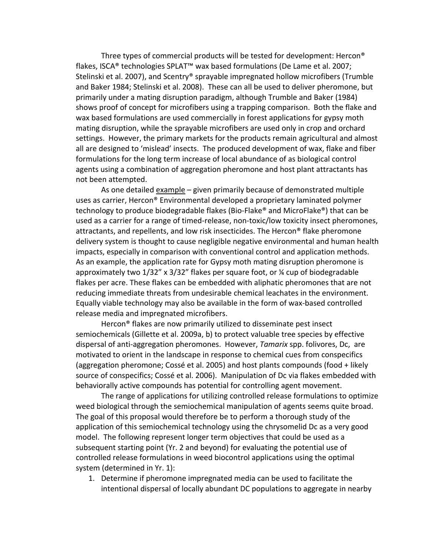Three types of commercial products will be tested for development: Hercon® flakes, ISCA® technologies SPLAT™ wax based formulations (De Lame et al. 2007; Stelinski et al. 2007), and Scentry® sprayable impregnated hollow microfibers (Trumble and Baker 1984; Stelinski et al. 2008). These can all be used to deliver pheromone, but primarily under a mating disruption paradigm, although Trumble and Baker (1984) shows proof of concept for microfibers using a trapping comparison. Both the flake and wax based formulations are used commercially in forest applications for gypsy moth mating disruption, while the sprayable microfibers are used only in crop and orchard settings. However, the primary markets for the products remain agricultural and almost all are designed to 'mislead' insects. The produced development of wax, flake and fiber formulations for the long term increase of local abundance of as biological control agents using a combination of aggregation pheromone and host plant attractants has not been attempted.

As one detailed example – given primarily because of demonstrated multiple uses as carrier, Hercon® Environmental developed a proprietary laminated polymer technology to produce biodegradable flakes (Bio-Flake® and MicroFlake®) that can be used as a carrier for a range of timed-release, non-toxic/low toxicity insect pheromones, attractants, and repellents, and low risk insecticides. The Hercon® flake pheromone delivery system is thought to cause negligible negative environmental and human health impacts, especially in comparison with conventional control and application methods. As an example, the application rate for Gypsy moth mating disruption pheromone is approximately two 1/32" x 3/32" flakes per square foot, or ¼ cup of biodegradable flakes per acre. These flakes can be embedded with aliphatic pheromones that are not reducing immediate threats from undesirable chemical leachates in the environment. Equally viable technology may also be available in the form of wax-based controlled release media and impregnated microfibers.

Hercon® flakes are now primarily utilized to disseminate pest insect semiochemicals (Gillette et al. 2009a, b) to protect valuable tree species by effective dispersal of anti-aggregation pheromones. However, *Tamarix* spp. folivores, Dc, are motivated to orient in the landscape in response to chemical cues from conspecifics (aggregation pheromone; Cossé et al. 2005) and host plants compounds (food + likely source of conspecifics; Cossé et al. 2006). Manipulation of Dc via flakes embedded with behaviorally active compounds has potential for controlling agent movement.

The range of applications for utilizing controlled release formulations to optimize weed biological through the semiochemical manipulation of agents seems quite broad. The goal of this proposal would therefore be to perform a thorough study of the application of this semiochemical technology using the chrysomelid Dc as a very good model. The following represent longer term objectives that could be used as a subsequent starting point (Yr. 2 and beyond) for evaluating the potential use of controlled release formulations in weed biocontrol applications using the optimal system (determined in Yr. 1):

1. Determine if pheromone impregnated media can be used to facilitate the intentional dispersal of locally abundant DC populations to aggregate in nearby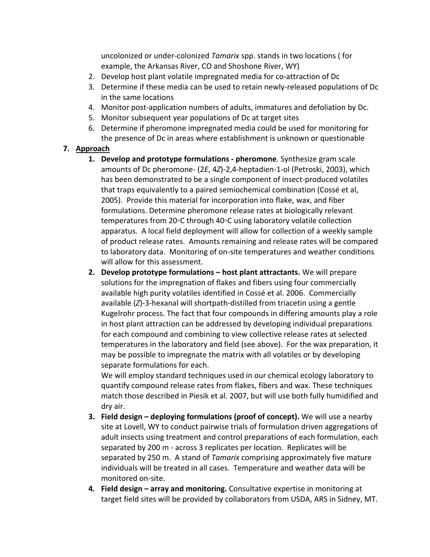uncolonized or under-colonized *Tamarix* spp. stands in two locations ( for example, the Arkansas River, CO and Shoshone River, WY)

- 2. Develop host plant volatile impregnated media for co-attraction of Dc
- 3. Determine if these media can be used to retain newly-released populations of Dc in the same locations
- 4. Monitor post-application numbers of adults, immatures and defoliation by Dc.
- 5. Monitor subsequent year populations of Dc at target sites
- 6. Determine if pheromone impregnated media could be used for monitoring for the presence of Dc in areas where establishment is unknown or questionable

# **7. Approach**

- **1. Develop and prototype formulations - pheromone**. Synthesize gram scale amounts of Dc pheromone- (2*E*, 4*Z*)-2,4-heptadien-1-ol (Petroski, 2003), which has been demonstrated to be a single component of insect-produced volatiles that traps equivalently to a paired semiochemical combination (Cossé et al, 2005). Provide this material for incorporation into flake, wax, and fiber formulations. Determine pheromone release rates at biologically relevant temperatures from 20◦C through 40◦C using laboratory volatile collection apparatus. A local field deployment will allow for collection of a weekly sample of product release rates. Amounts remaining and release rates will be compared to laboratory data. Monitoring of on-site temperatures and weather conditions will allow for this assessment.
- **2. Develop prototype formulations – host plant attractants.** We will prepare solutions for the impregnation of flakes and fibers using four commercially available high purity volatiles identified in Cossé et al. 2006. Commercially available (*Z*)-3-hexanal will shortpath-distilled from triacetin using a gentle Kugelrohr process. The fact that four compounds in differing amounts play a role in host plant attraction can be addressed by developing individual preparations for each compound and combining to view collective release rates at selected temperatures in the laboratory and field (see above). For the wax preparation, it may be possible to impregnate the matrix with all volatiles or by developing separate formulations for each.

We will employ standard techniques used in our chemical ecology laboratory to quantify compound release rates from flakes, fibers and wax. These techniques match those described in Piesik et al. 2007, but will use both fully humidified and dry air.

- **3. Field design – deploying formulations (proof of concept).** We will use a nearby site at Lovell, WY to conduct pairwise trials of formulation driven aggregations of adult insects using treatment and control preparations of each formulation, each separated by 200 m - across 3 replicates per location. Replicates will be separated by 250 m. A stand of *Tamarix* comprising approximately five mature individuals will be treated in all cases. Temperature and weather data will be monitored on-site.
- **4. Field design – array and monitoring.** Consultative expertise in monitoring at target field sites will be provided by collaborators from USDA, ARS in Sidney, MT.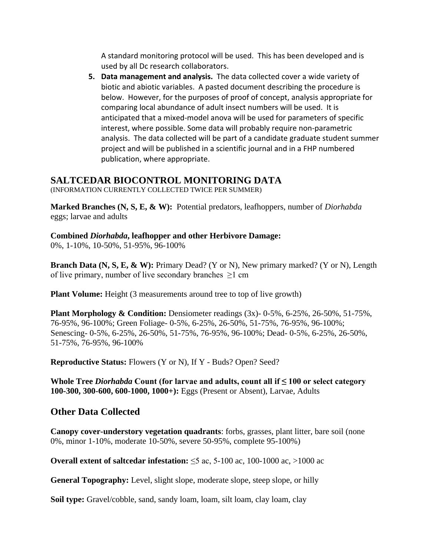A standard monitoring protocol will be used. This has been developed and is used by all Dc research collaborators.

**5. Data management and analysis.** The data collected cover a wide variety of biotic and abiotic variables. A pasted document describing the procedure is below. However, for the purposes of proof of concept, analysis appropriate for comparing local abundance of adult insect numbers will be used. It is anticipated that a mixed-model anova will be used for parameters of specific interest, where possible. Some data will probably require non-parametric analysis. The data collected will be part of a candidate graduate student summer project and will be published in a scientific journal and in a FHP numbered publication, where appropriate.

# **SALTCEDAR BIOCONTROL MONITORING DATA**

(INFORMATION CURRENTLY COLLECTED TWICE PER SUMMER)

**Marked Branches (N, S, E, & W):** Potential predators, leafhoppers, number of *Diorhabda* eggs; larvae and adults

# **Combined** *Diorhabda***, leafhopper and other Herbivore Damage:**

0%, 1-10%, 10-50%, 51-95%, 96-100%

**Branch Data (N, S, E, & W):** Primary Dead? (Y or N), New primary marked? (Y or N), Length of live primary, number of live secondary branches  $\geq 1$  cm

**Plant Volume:** Height (3 measurements around tree to top of live growth)

**Plant Morphology & Condition:** Densiometer readings (3x)- 0-5%, 6-25%, 26-50%, 51-75%, 76-95%, 96-100%; Green Foliage- 0-5%, 6-25%, 26-50%, 51-75%, 76-95%, 96-100%; Senescing- 0-5%, 6-25%, 26-50%, 51-75%, 76-95%, 96-100%; Dead- 0-5%, 6-25%, 26-50%, 51-75%, 76-95%, 96-100%

**Reproductive Status:** Flowers (Y or N), If Y - Buds? Open? Seed?

**Whole Tree** *Diorhabda* **Count (for larvae and adults, count all if ≤ 100 or select category 100-300, 300-600, 600-1000, 1000+):** Eggs (Present or Absent), Larvae, Adults

# **Other Data Collected**

**Canopy cover-understory vegetation quadrants**: forbs, grasses, plant litter, bare soil (none 0%, minor 1-10%, moderate 10-50%, severe 50-95%, complete 95-100%)

**Overall extent of saltcedar infestation:** ≤5 ac, 5-100 ac, 100-1000 ac, >1000 ac

**General Topography:** Level, slight slope, moderate slope, steep slope, or hilly

**Soil type:** Gravel/cobble, sand, sandy loam, loam, silt loam, clay loam, clay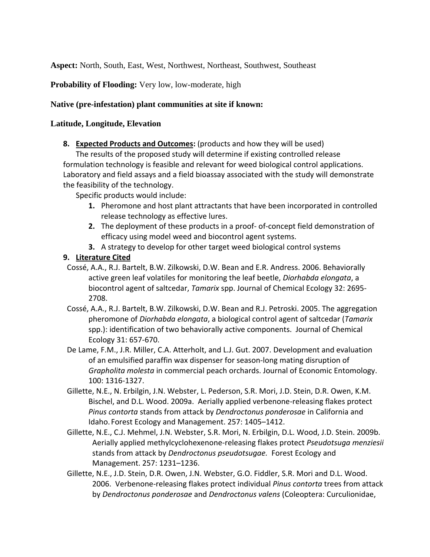**Aspect:** North, South, East, West, Northwest, Northeast, Southwest, Southeast

**Probability of Flooding:** Very low, low-moderate, high

### **Native (pre-infestation) plant communities at site if known:**

### **Latitude, Longitude, Elevation**

**8. Expected Products and Outcomes:** (products and how they will be used)

The results of the proposed study will determine if existing controlled release formulation technology is feasible and relevant for weed biological control applications. Laboratory and field assays and a field bioassay associated with the study will demonstrate the feasibility of the technology.

Specific products would include:

- **1.** Pheromone and host plant attractants that have been incorporated in controlled release technology as effective lures.
- **2.** The deployment of these products in a proof- of-concept field demonstration of efficacy using model weed and biocontrol agent systems.
- **3.** A strategy to develop for other target weed biological control systems

### **9. Literature Cited**

- Cossé, A.A., R.J. Bartelt, B.W. Zilkowski, D.W. Bean and E.R. Andress. 2006. Behaviorally active green leaf volatiles for monitoring the leaf beetle, *Diorhabda elongata*, a biocontrol agent of saltcedar, *Tamarix* spp. Journal of Chemical Ecology 32: 2695- 2708.
- Cossé, A.A., R.J. Bartelt, B.W. Zilkowski, D.W. Bean and R.J. Petroski. 2005. The aggregation pheromone of *Diorhabda elongata*, a biological control agent of saltcedar (*Tamarix* spp.): identification of two behaviorally active components. Journal of Chemical Ecology 31: 657-670.
- De Lame, F.M., J.R. Miller, C.A. Atterholt, and L.J. Gut. 2007. Development and evaluation of an emulsified paraffin wax dispenser for season-long mating disruption of *Grapholita molesta* in commercial peach orchards. Journal of Economic Entomology. 100: 1316-1327.
- Gillette, N.E., N. Erbilgin, J.N. Webster, L. Pederson, S.R. Mori, J.D. Stein, D.R. Owen, K.M. Bischel, and D.L. Wood. 2009a. Aerially applied verbenone-releasing flakes protect *Pinus contorta* stands from attack by *Dendroctonus ponderosae* in California and Idaho. Forest Ecology and Management. 257: 1405–1412.
- Gillette, N.E., C.J. Mehmel, J.N. Webster, S.R. Mori, N. Erbilgin, D.L. Wood, J.D. Stein. 2009b. Aerially applied methylcyclohexenone-releasing flakes protect *Pseudotsuga menziesii* stands from attack by *Dendroctonus pseudotsugae.* Forest Ecology and Management. 257: 1231–1236.
- Gillette, N.E., J.D. Stein, D.R. Owen, J.N. Webster, G.O. Fiddler, S.R. Mori and D.L. Wood. 2006. Verbenone-releasing flakes protect individual *Pinus contorta* trees from attack by *Dendroctonus ponderosae* and *Dendroctonus valens* (Coleoptera: Curculionidae,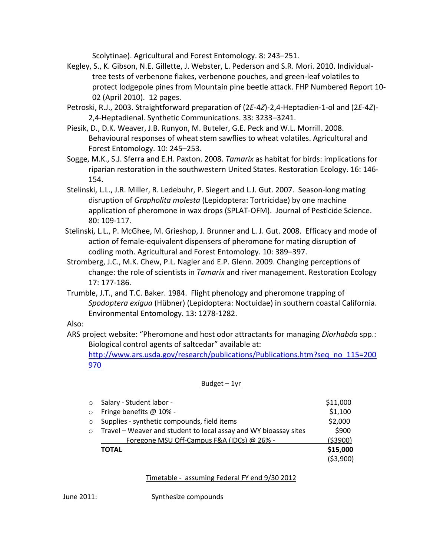Scolytinae). Agricultural and Forest Entomology. 8: 243–251.

- Kegley, S., K. Gibson, N.E. Gillette, J. Webster, L. Pederson and S.R. Mori. 2010. Individualtree tests of verbenone flakes, verbenone pouches, and green-leaf volatiles to protect lodgepole pines from Mountain pine beetle attack. FHP Numbered Report 10- 02 (April 2010). 12 pages.
- Petroski, R.J., 2003. Straightforward preparation of (2*E*-4*Z*)-2,4-Heptadien-1-ol and (2*E*-4*Z*)- 2,4-Heptadienal. Synthetic Communications. 33: 3233–3241.
- Piesik, D., D.K. Weaver, J.B. Runyon, M. Buteler, G.E. Peck and W.L. Morrill. 2008. Behavioural responses of wheat stem sawflies to wheat volatiles. Agricultural and Forest Entomology. 10: 245–253.
- Sogge, M.K., S.J. Sferra and E.H. Paxton. 2008. *Tamarix* as habitat for birds: implications for riparian restoration in the southwestern United States. Restoration Ecology. 16: 146- 154.
- Stelinski, L.L., J.R. Miller, R. Ledebuhr, P. Siegert and L.J. Gut. 2007. Season-long mating disruption of *Grapholita molesta* (Lepidoptera: Tortricidae) by one machine application of pheromone in wax drops (SPLAT-OFM). Journal of Pesticide Science. 80: 109-117.
- Stelinski, L.L., P. McGhee, M. Grieshop, J. Brunner and L. J. Gut. 2008. Efficacy and mode of action of female-equivalent dispensers of pheromone for mating disruption of codling moth. Agricultural and Forest Entomology. 10: 389–397.
- Stromberg, J.C., M.K. Chew, P.L. Nagler and E.P. Glenn. 2009. Changing perceptions of change: the role of scientists in *Tamarix* and river management. Restoration Ecology 17: 177-186.
- Trumble, J.T., and T.C. Baker. 1984. Flight phenology and pheromone trapping of *Spodoptera exigua* (Hübner) (Lepidoptera: Noctuidae) in southern coastal California. Environmental Entomology. 13: 1278-1282.

Also:

 ARS project website: "Pheromone and host odor attractants for managing *Diorhabda* spp.: Biological control agents of saltcedar" available at:

[http://www.ars.usda.gov/research/publications/Publications.htm?seq\\_no\\_115=200](http://www.ars.usda.gov/research/publications/Publications.htm?seq_no_115=200970) [970](http://www.ars.usda.gov/research/publications/Publications.htm?seq_no_115=200970)

#### Budget – 1yr

| $\circ$    | Salary - Student labor -                                         | \$11,000   |
|------------|------------------------------------------------------------------|------------|
| $\circ$    | Fringe benefits @ 10% -                                          | \$1,100    |
| $\circ$    | Supplies - synthetic compounds, field items                      | \$2,000    |
| $\bigcirc$ | Travel – Weaver and student to local assay and WY bioassay sites | \$900      |
|            | Foregone MSU Off-Campus F&A (IDCs) @ 26% -                       | (\$3900)   |
|            | <b>TOTAL</b>                                                     | \$15,000   |
|            |                                                                  | ( \$3,900) |

#### Timetable - assuming Federal FY end 9/30 2012

June 2011: Synthesize compounds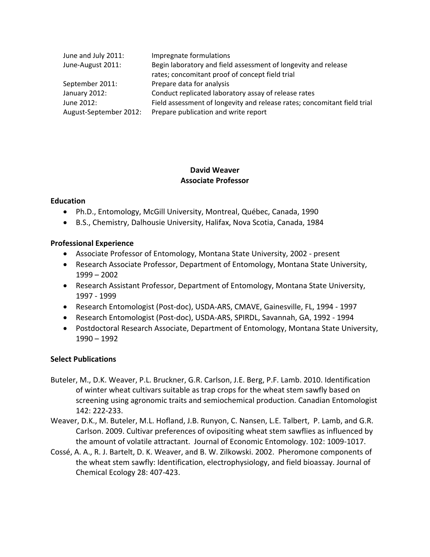| June and July 2011:    | Impregnate formulations                                                  |
|------------------------|--------------------------------------------------------------------------|
| June-August 2011:      | Begin laboratory and field assessment of longevity and release           |
|                        | rates; concomitant proof of concept field trial                          |
| September 2011:        | Prepare data for analysis                                                |
| January 2012:          | Conduct replicated laboratory assay of release rates                     |
| June 2012:             | Field assessment of longevity and release rates; concomitant field trial |
| August-September 2012: | Prepare publication and write report                                     |

## **David Weaver Associate Professor**

### **Education**

- Ph.D., Entomology, McGill University, Montreal, Québec, Canada, 1990
- B.S., Chemistry, Dalhousie University, Halifax, Nova Scotia, Canada, 1984

### **Professional Experience**

- Associate Professor of Entomology, Montana State University, 2002 present
- Research Associate Professor, Department of Entomology, Montana State University, 1999 – 2002
- Research Assistant Professor, Department of Entomology, Montana State University, 1997 - 1999
- Research Entomologist (Post-doc), USDA-ARS, CMAVE, Gainesville, FL, 1994 1997
- Research Entomologist (Post-doc), USDA-ARS, SPIRDL, Savannah, GA, 1992 1994
- Postdoctoral Research Associate, Department of Entomology, Montana State University, 1990 – 1992

### **Select Publications**

- Buteler, M., D.K. Weaver, P.L. Bruckner, G.R. Carlson, J.E. Berg, P.F. Lamb. 2010. Identification of winter wheat cultivars suitable as trap crops for the wheat stem sawfly based on screening using agronomic traits and semiochemical production. Canadian Entomologist 142: 222-233.
- Weaver, D.K., M. Buteler, M.L. Hofland, J.B. Runyon, C. Nansen, L.E. Talbert, P. Lamb, and G.R. Carlson. 2009. Cultivar preferences of ovipositing wheat stem sawflies as influenced by the amount of volatile attractant. Journal of Economic Entomology. 102: 1009-1017.
- Cossé, A. A., R. J. Bartelt, D. K. Weaver, and B. W. Zilkowski. 2002. Pheromone components of the wheat stem sawfly: Identification, electrophysiology, and field bioassay. Journal of Chemical Ecology 28: 407-423.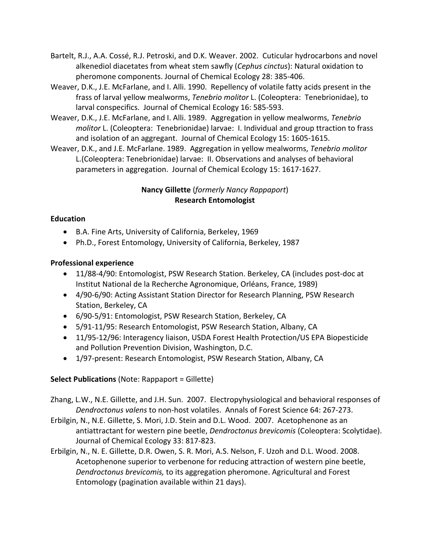- Bartelt, R.J., A.A. Cossé, R.J. Petroski, and D.K. Weaver. 2002. Cuticular hydrocarbons and novel alkenediol diacetates from wheat stem sawfly (*Cephus cinctus*): Natural oxidation to pheromone components. Journal of Chemical Ecology 28: 385-406.
- Weaver, D.K., J.E. McFarlane, and I. Alli. 1990. Repellency of volatile fatty acids present in the frass of larval yellow mealworms, *Tenebrio molitor* L. (Coleoptera: Tenebrionidae), to larval conspecifics. Journal of Chemical Ecology 16: 585-593.
- Weaver, D.K., J.E. McFarlane, and I. Alli. 1989. Aggregation in yellow mealworms, *Tenebrio molitor* L. (Coleoptera: Tenebrionidae) larvae: I. Individual and group ttraction to frass and isolation of an aggregant. Journal of Chemical Ecology 15: 1605-1615.
- Weaver, D.K., and J.E. McFarlane. 1989. Aggregation in yellow mealworms, *Tenebrio molitor* L.(Coleoptera: Tenebrionidae) larvae: II. Observations and analyses of behavioral parameters in aggregation. Journal of Chemical Ecology 15: 1617-1627.

# **Nancy Gillette** (*formerly Nancy Rappaport*) **Research Entomologist**

# **Education**

- B.A. Fine Arts, University of California, Berkeley, 1969
- Ph.D., Forest Entomology, University of California, Berkeley, 1987

# **Professional experience**

- 11/88-4/90: Entomologist, PSW Research Station. Berkeley, CA (includes post-doc at Institut National de la Recherche Agronomique, Orléans, France, 1989)
- 4/90-6/90: Acting Assistant Station Director for Research Planning, PSW Research Station, Berkeley, CA
- 6/90-5/91: Entomologist, PSW Research Station, Berkeley, CA
- 5/91-11/95: Research Entomologist, PSW Research Station, Albany, CA
- 11/95-12/96: Interagency liaison, USDA Forest Health Protection/US EPA Biopesticide and Pollution Prevention Division, Washington, D.C.
- 1/97-present: Research Entomologist, PSW Research Station, Albany, CA

# **Select Publications** (Note: Rappaport = Gillette)

Zhang, L.W., N.E. Gillette, and J.H. Sun. 2007. Electropyhysiological and behavioral responses of *Dendroctonus valens* to non-host volatiles. Annals of Forest Science 64: 267-273.

- Erbilgin, N., N.E. Gillette, S. Mori, J.D. Stein and D.L. Wood. 2007. Acetophenone as an antiattractant for western pine beetle, *Dendroctonus brevicomis* (Coleoptera: Scolytidae). Journal of Chemical Ecology 33: 817-823.
- Erbilgin, N., N. E. Gillette, D.R. Owen, S. R. Mori, A.S. Nelson, F. Uzoh and D.L. Wood. 2008. Acetophenone superior to verbenone for reducing attraction of western pine beetle, *Dendroctonus brevicomis,* to its aggregation pheromone. Agricultural and Forest Entomology (pagination available within 21 days).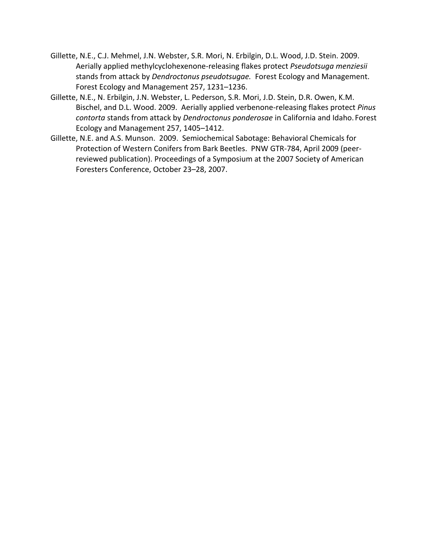- Gillette, N.E., C.J. Mehmel, J.N. Webster, S.R. Mori, N. Erbilgin, D.L. Wood, J.D. Stein. 2009. Aerially applied methylcyclohexenone-releasing flakes protect *Pseudotsuga menziesii* stands from attack by *Dendroctonus pseudotsugae.* Forest Ecology and Management. Forest Ecology and Management 257, 1231–1236.
- Gillette, N.E., N. Erbilgin, J.N. Webster, L. Pederson, S.R. Mori, J.D. Stein, D.R. Owen, K.M. Bischel, and D.L. Wood. 2009. Aerially applied verbenone-releasing flakes protect *Pinus contorta* stands from attack by *Dendroctonus ponderosae* in California and Idaho. Forest Ecology and Management 257, 1405–1412.
- Gillette, N.E. and A.S. Munson. 2009. Semiochemical Sabotage: Behavioral Chemicals for Protection of Western Conifers from Bark Beetles. PNW GTR-784, April 2009 (peerreviewed publication). Proceedings of a Symposium at the 2007 Society of American Foresters Conference, October 23–28, 2007.